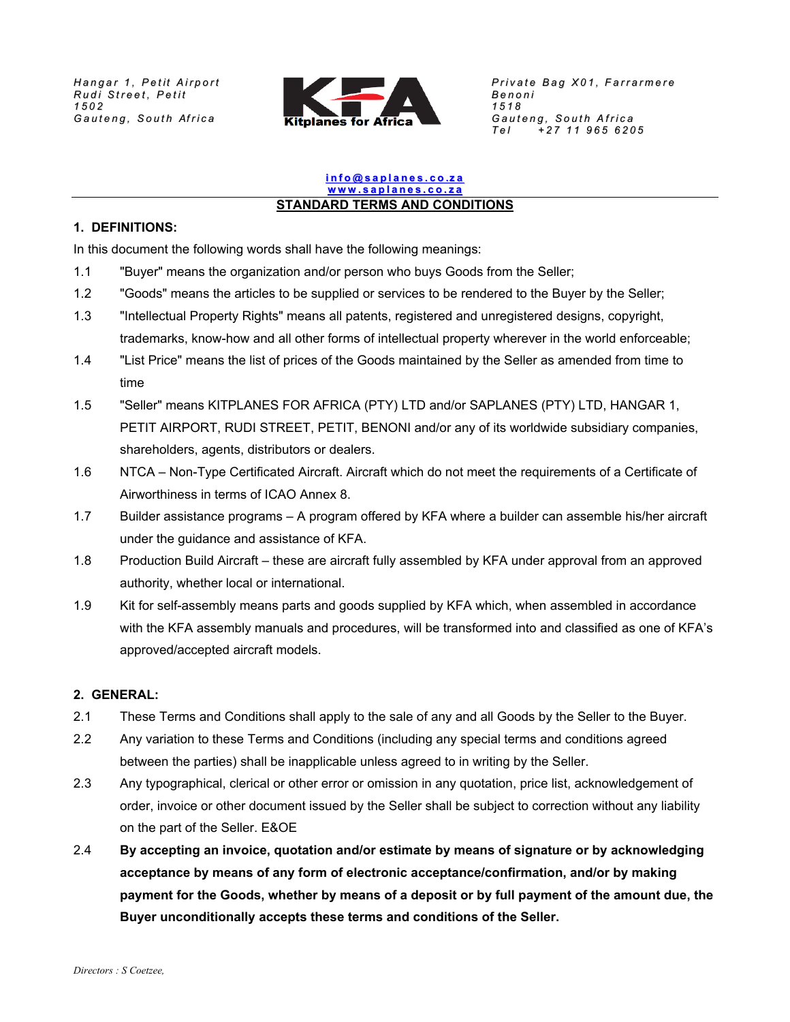

# <u>info@saplanes.co.za</u><br>www.saplanes.co.za<br>STANDARD TERMS AND CONDITIONS

# **1. DEFINITIONS:**

In this document the following words shall have the following meanings:

- 1.1 "Buyer" means the organization and/or person who buys Goods from the Seller;
- 1.2 "Goods" means the articles to be supplied or services to be rendered to the Buyer by the Seller;
- 1.3 "Intellectual Property Rights" means all patents, registered and unregistered designs, copyright, trademarks, know-how and all other forms of intellectual property wherever in the world enforceable;
- 1.4 "List Price" means the list of prices of the Goods maintained by the Seller as amended from time to time
- 1.5 "Seller" means KITPLANES FOR AFRICA (PTY) LTD and/or SAPLANES (PTY) LTD, HANGAR 1, PETIT AIRPORT, RUDI STREET, PETIT, BENONI and/or any of its worldwide subsidiary companies, shareholders, agents, distributors or dealers.
- 1.6 NTCA Non-Type Certificated Aircraft. Aircraft which do not meet the requirements of a Certificate of Airworthiness in terms of ICAO Annex 8.
- 1.7 Builder assistance programs A program offered by KFA where a builder can assemble his/her aircraft under the guidance and assistance of KFA.
- 1.8 Production Build Aircraft these are aircraft fully assembled by KFA under approval from an approved authority, whether local or international.
- 1.9 Kit for self-assembly means parts and goods supplied by KFA which, when assembled in accordance with the KFA assembly manuals and procedures, will be transformed into and classified as one of KFA's approved/accepted aircraft models.

# **2. GENERAL:**

- 2.1 These Terms and Conditions shall apply to the sale of any and all Goods by the Seller to the Buyer.
- 2.2 Any variation to these Terms and Conditions (including any special terms and conditions agreed between the parties) shall be inapplicable unless agreed to in writing by the Seller.
- 2.3 Any typographical, clerical or other error or omission in any quotation, price list, acknowledgement of order, invoice or other document issued by the Seller shall be subject to correction without any liability on the part of the Seller. E&OE
- 2.4 **By accepting an invoice, quotation and/or estimate by means of signature or by acknowledging acceptance by means of any form of electronic acceptance/confirmation, and/or by making payment for the Goods, whether by means of a deposit or by full payment of the amount due, the Buyer unconditionally accepts these terms and conditions of the Seller.**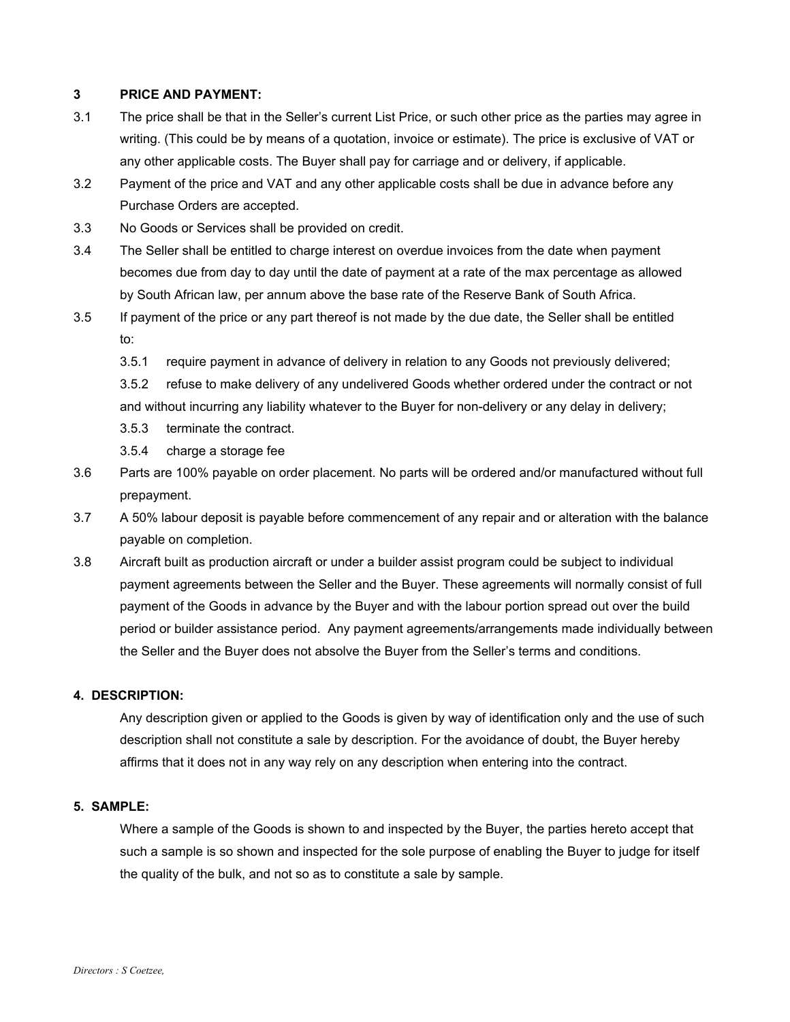# **3 PRICE AND PAYMENT:**

- 3.1 The price shall be that in the Seller's current List Price, or such other price as the parties may agree in writing. (This could be by means of a quotation, invoice or estimate). The price is exclusive of VAT or any other applicable costs. The Buyer shall pay for carriage and or delivery, if applicable.
- 3.2 Payment of the price and VAT and any other applicable costs shall be due in advance before any Purchase Orders are accepted.
- 3.3 No Goods or Services shall be provided on credit.
- 3.4 The Seller shall be entitled to charge interest on overdue invoices from the date when payment becomes due from day to day until the date of payment at a rate of the max percentage as allowed by South African law, per annum above the base rate of the Reserve Bank of South Africa.
- 3.5 If payment of the price or any part thereof is not made by the due date, the Seller shall be entitled to:
	- 3.5.1 require payment in advance of delivery in relation to any Goods not previously delivered;
	- 3.5.2 refuse to make delivery of any undelivered Goods whether ordered under the contract or not and without incurring any liability whatever to the Buyer for non-delivery or any delay in delivery; 3.5.3 terminate the contract.
	- 3.5.4 charge a storage fee
- 3.6 Parts are 100% payable on order placement. No parts will be ordered and/or manufactured without full prepayment.
- 3.7 A 50% labour deposit is payable before commencement of any repair and or alteration with the balance payable on completion.
- 3.8 Aircraft built as production aircraft or under a builder assist program could be subject to individual payment agreements between the Seller and the Buyer. These agreements will normally consist of full payment of the Goods in advance by the Buyer and with the labour portion spread out over the build period or builder assistance period. Any payment agreements/arrangements made individually between the Seller and the Buyer does not absolve the Buyer from the Seller's terms and conditions.

#### **4. DESCRIPTION:**

Any description given or applied to the Goods is given by way of identification only and the use of such description shall not constitute a sale by description. For the avoidance of doubt, the Buyer hereby affirms that it does not in any way rely on any description when entering into the contract.

#### **5. SAMPLE:**

Where a sample of the Goods is shown to and inspected by the Buyer, the parties hereto accept that such a sample is so shown and inspected for the sole purpose of enabling the Buyer to judge for itself the quality of the bulk, and not so as to constitute a sale by sample.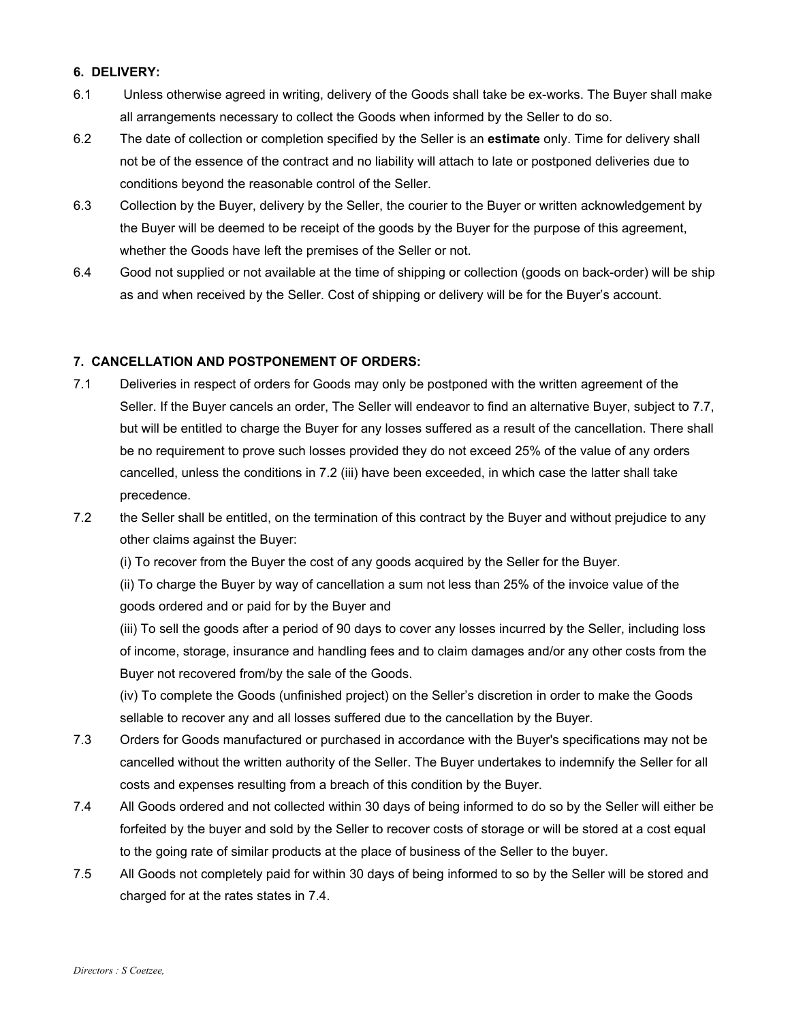# **6. DELIVERY:**

- 6.1 Unless otherwise agreed in writing, delivery of the Goods shall take be ex-works. The Buyer shall make all arrangements necessary to collect the Goods when informed by the Seller to do so.
- 6.2 The date of collection or completion specified by the Seller is an **estimate** only. Time for delivery shall not be of the essence of the contract and no liability will attach to late or postponed deliveries due to conditions beyond the reasonable control of the Seller.
- 6.3 Collection by the Buyer, delivery by the Seller, the courier to the Buyer or written acknowledgement by the Buyer will be deemed to be receipt of the goods by the Buyer for the purpose of this agreement, whether the Goods have left the premises of the Seller or not.
- 6.4 Good not supplied or not available at the time of shipping or collection (goods on back-order) will be ship as and when received by the Seller. Cost of shipping or delivery will be for the Buyer's account.

# **7. CANCELLATION AND POSTPONEMENT OF ORDERS:**

- 7.1 Deliveries in respect of orders for Goods may only be postponed with the written agreement of the Seller. If the Buyer cancels an order, The Seller will endeavor to find an alternative Buyer, subject to 7.7, but will be entitled to charge the Buyer for any losses suffered as a result of the cancellation. There shall be no requirement to prove such losses provided they do not exceed 25% of the value of any orders cancelled, unless the conditions in 7.2 (iii) have been exceeded, in which case the latter shall take precedence.
- 7.2 the Seller shall be entitled, on the termination of this contract by the Buyer and without prejudice to any other claims against the Buyer:

(i) To recover from the Buyer the cost of any goods acquired by the Seller for the Buyer.

(ii) To charge the Buyer by way of cancellation a sum not less than 25% of the invoice value of the goods ordered and or paid for by the Buyer and

(iii) To sell the goods after a period of 90 days to cover any losses incurred by the Seller, including loss of income, storage, insurance and handling fees and to claim damages and/or any other costs from the Buyer not recovered from/by the sale of the Goods.

(iv) To complete the Goods (unfinished project) on the Seller's discretion in order to make the Goods sellable to recover any and all losses suffered due to the cancellation by the Buyer.

- 7.3 Orders for Goods manufactured or purchased in accordance with the Buyer's specifications may not be cancelled without the written authority of the Seller. The Buyer undertakes to indemnify the Seller for all costs and expenses resulting from a breach of this condition by the Buyer.
- 7.4 All Goods ordered and not collected within 30 days of being informed to do so by the Seller will either be forfeited by the buyer and sold by the Seller to recover costs of storage or will be stored at a cost equal to the going rate of similar products at the place of business of the Seller to the buyer.
- 7.5 All Goods not completely paid for within 30 days of being informed to so by the Seller will be stored and charged for at the rates states in 7.4.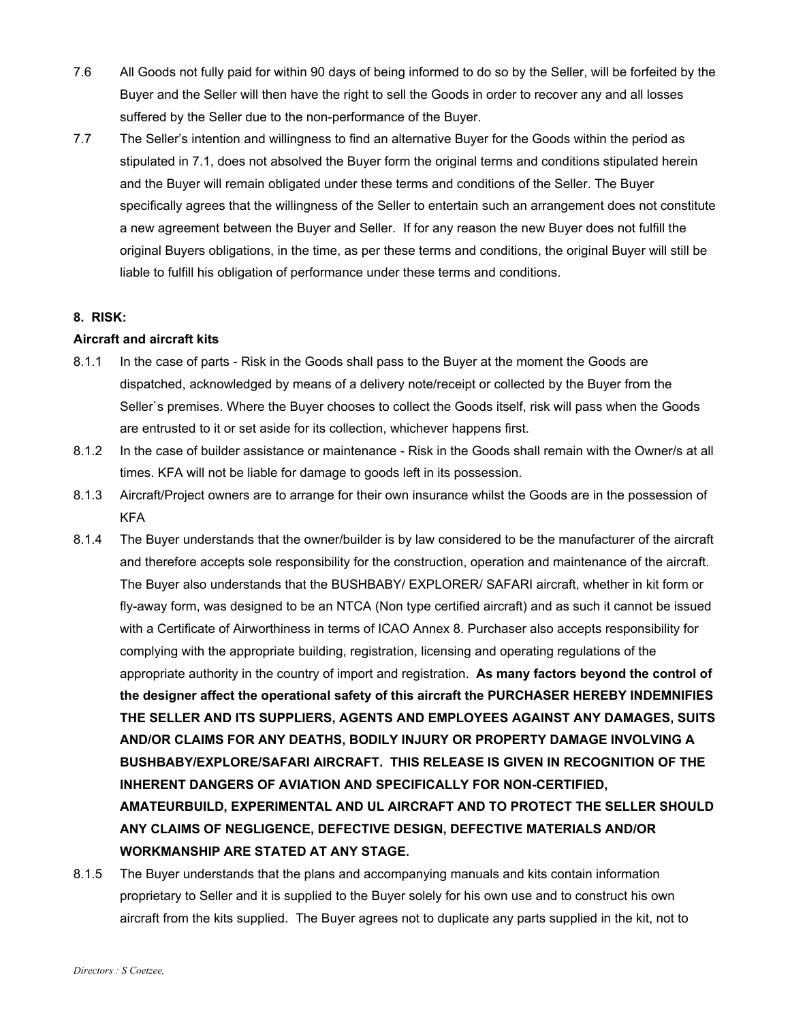- 7.6 All Goods not fully paid for within 90 days of being informed to do so by the Seller, will be forfeited by the Buyer and the Seller will then have the right to sell the Goods in order to recover any and all losses suffered by the Seller due to the non-performance of the Buyer.
- 7.7 The Seller's intention and willingness to find an alternative Buyer for the Goods within the period as stipulated in 7.1, does not absolved the Buyer form the original terms and conditions stipulated herein and the Buyer will remain obligated under these terms and conditions of the Seller. The Buyer specifically agrees that the willingness of the Seller to entertain such an arrangement does not constitute a new agreement between the Buyer and Seller. If for any reason the new Buyer does not fulfill the original Buyers obligations, in the time, as per these terms and conditions, the original Buyer will still be liable to fulfill his obligation of performance under these terms and conditions.

## **8. RISK:**

## **Aircraft and aircraft kits**

- 8.1.1 In the case of parts Risk in the Goods shall pass to the Buyer at the moment the Goods are dispatched, acknowledged by means of a delivery note/receipt or collected by the Buyer from the Seller`s premises. Where the Buyer chooses to collect the Goods itself, risk will pass when the Goods are entrusted to it or set aside for its collection, whichever happens first.
- 8.1.2 In the case of builder assistance or maintenance Risk in the Goods shall remain with the Owner/s at all times. KFA will not be liable for damage to goods left in its possession.
- 8.1.3 Aircraft/Project owners are to arrange for their own insurance whilst the Goods are in the possession of KFA
- 8.1.4 The Buyer understands that the owner/builder is by law considered to be the manufacturer of the aircraft and therefore accepts sole responsibility for the construction, operation and maintenance of the aircraft. The Buyer also understands that the BUSHBABY/ EXPLORER/ SAFARI aircraft, whether in kit form or fly-away form, was designed to be an NTCA (Non type certified aircraft) and as such it cannot be issued with a Certificate of Airworthiness in terms of ICAO Annex 8. Purchaser also accepts responsibility for complying with the appropriate building, registration, licensing and operating regulations of the appropriate authority in the country of import and registration. **As many factors beyond the control of the designer affect the operational safety of this aircraft the PURCHASER HEREBY INDEMNIFIES THE SELLER AND ITS SUPPLIERS, AGENTS AND EMPLOYEES AGAINST ANY DAMAGES, SUITS AND/OR CLAIMS FOR ANY DEATHS, BODILY INJURY OR PROPERTY DAMAGE INVOLVING A BUSHBABY/EXPLORE/SAFARI AIRCRAFT. THIS RELEASE IS GIVEN IN RECOGNITION OF THE INHERENT DANGERS OF AVIATION AND SPECIFICALLY FOR NON-CERTIFIED, AMATEURBUILD, EXPERIMENTAL AND UL AIRCRAFT AND TO PROTECT THE SELLER SHOULD ANY CLAIMS OF NEGLIGENCE, DEFECTIVE DESIGN, DEFECTIVE MATERIALS AND/OR WORKMANSHIP ARE STATED AT ANY STAGE.**
- 8.1.5 The Buyer understands that the plans and accompanying manuals and kits contain information proprietary to Seller and it is supplied to the Buyer solely for his own use and to construct his own aircraft from the kits supplied. The Buyer agrees not to duplicate any parts supplied in the kit, not to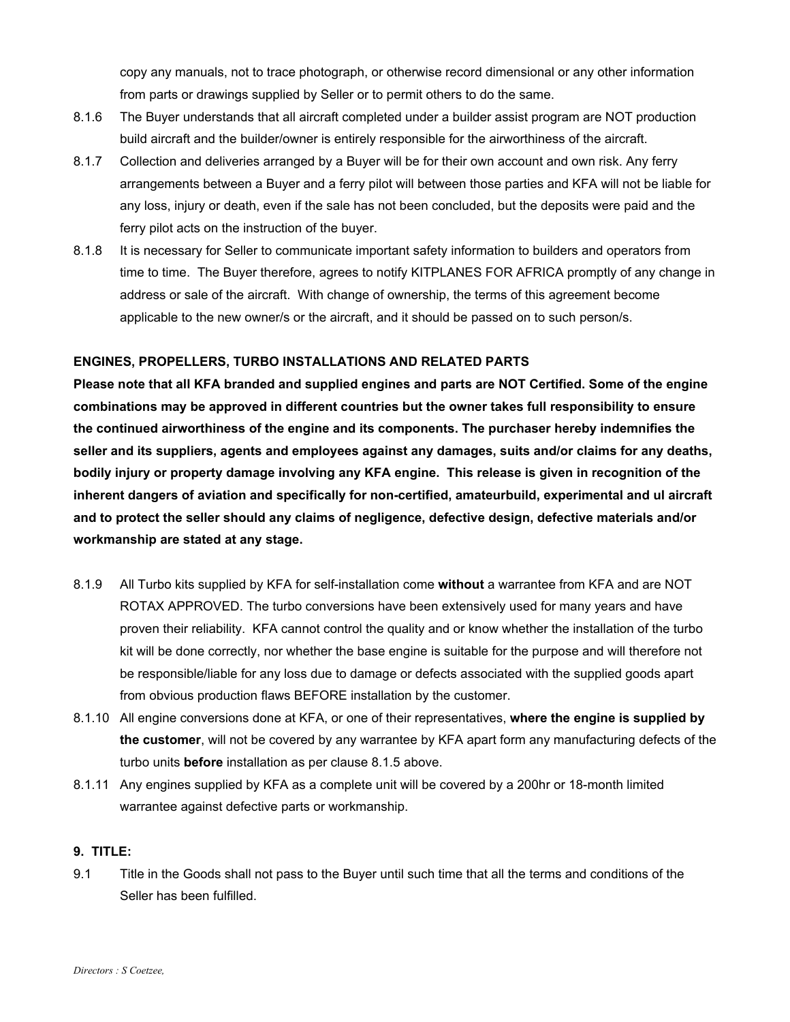copy any manuals, not to trace photograph, or otherwise record dimensional or any other information from parts or drawings supplied by Seller or to permit others to do the same.

- 8.1.6 The Buyer understands that all aircraft completed under a builder assist program are NOT production build aircraft and the builder/owner is entirely responsible for the airworthiness of the aircraft.
- 8.1.7 Collection and deliveries arranged by a Buyer will be for their own account and own risk. Any ferry arrangements between a Buyer and a ferry pilot will between those parties and KFA will not be liable for any loss, injury or death, even if the sale has not been concluded, but the deposits were paid and the ferry pilot acts on the instruction of the buyer.
- 8.1.8 It is necessary for Seller to communicate important safety information to builders and operators from time to time. The Buyer therefore, agrees to notify KITPLANES FOR AFRICA promptly of any change in address or sale of the aircraft. With change of ownership, the terms of this agreement become applicable to the new owner/s or the aircraft, and it should be passed on to such person/s.

# **ENGINES, PROPELLERS, TURBO INSTALLATIONS AND RELATED PARTS**

**Please note that all KFA branded and supplied engines and parts are NOT Certified. Some of the engine combinations may be approved in different countries but the owner takes full responsibility to ensure the continued airworthiness of the engine and its components. The purchaser hereby indemnifies the seller and its suppliers, agents and employees against any damages, suits and/or claims for any deaths, bodily injury or property damage involving any KFA engine. This release is given in recognition of the inherent dangers of aviation and specifically for non-certified, amateurbuild, experimental and ul aircraft and to protect the seller should any claims of negligence, defective design, defective materials and/or workmanship are stated at any stage.**

- 8.1.9 All Turbo kits supplied by KFA for self-installation come **without** a warrantee from KFA and are NOT ROTAX APPROVED. The turbo conversions have been extensively used for many years and have proven their reliability. KFA cannot control the quality and or know whether the installation of the turbo kit will be done correctly, nor whether the base engine is suitable for the purpose and will therefore not be responsible/liable for any loss due to damage or defects associated with the supplied goods apart from obvious production flaws BEFORE installation by the customer.
- 8.1.10 All engine conversions done at KFA, or one of their representatives, **where the engine is supplied by the customer**, will not be covered by any warrantee by KFA apart form any manufacturing defects of the turbo units **before** installation as per clause 8.1.5 above.
- 8.1.11 Any engines supplied by KFA as a complete unit will be covered by a 200hr or 18-month limited warrantee against defective parts or workmanship.

# **9. TITLE:**

9.1 Title in the Goods shall not pass to the Buyer until such time that all the terms and conditions of the Seller has been fulfilled.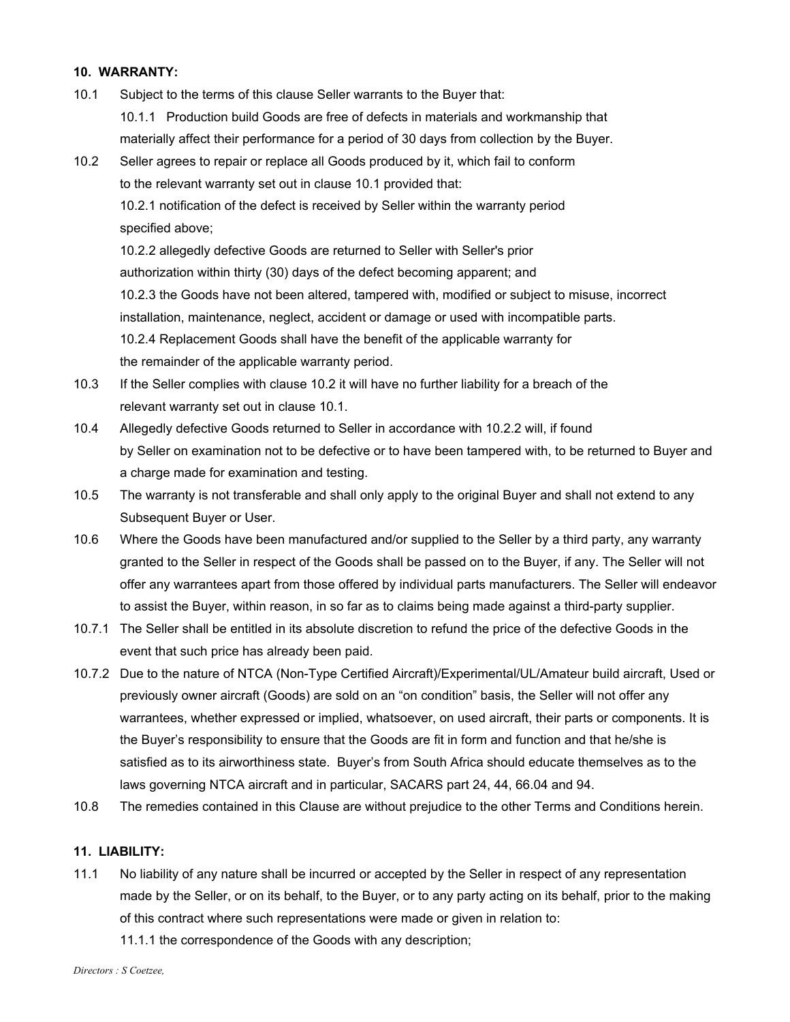#### **10. WARRANTY:**

- 10.1 Subject to the terms of this clause Seller warrants to the Buyer that: 10.1.1 Production build Goods are free of defects in materials and workmanship that materially affect their performance for a period of 30 days from collection by the Buyer.
- 10.2 Seller agrees to repair or replace all Goods produced by it, which fail to conform to the relevant warranty set out in clause 10.1 provided that: 10.2.1 notification of the defect is received by Seller within the warranty period specified above; 10.2.2 allegedly defective Goods are returned to Seller with Seller's prior authorization within thirty (30) days of the defect becoming apparent; and

10.2.3 the Goods have not been altered, tampered with, modified or subject to misuse, incorrect installation, maintenance, neglect, accident or damage or used with incompatible parts. 10.2.4 Replacement Goods shall have the benefit of the applicable warranty for the remainder of the applicable warranty period.

- 10.3 If the Seller complies with clause 10.2 it will have no further liability for a breach of the relevant warranty set out in clause 10.1.
- 10.4 Allegedly defective Goods returned to Seller in accordance with 10.2.2 will, if found by Seller on examination not to be defective or to have been tampered with, to be returned to Buyer and a charge made for examination and testing.
- 10.5 The warranty is not transferable and shall only apply to the original Buyer and shall not extend to any Subsequent Buyer or User.
- 10.6 Where the Goods have been manufactured and/or supplied to the Seller by a third party, any warranty granted to the Seller in respect of the Goods shall be passed on to the Buyer, if any. The Seller will not offer any warrantees apart from those offered by individual parts manufacturers. The Seller will endeavor to assist the Buyer, within reason, in so far as to claims being made against a third-party supplier.
- 10.7.1 The Seller shall be entitled in its absolute discretion to refund the price of the defective Goods in the event that such price has already been paid.
- 10.7.2 Due to the nature of NTCA (Non-Type Certified Aircraft)/Experimental/UL/Amateur build aircraft, Used or previously owner aircraft (Goods) are sold on an "on condition" basis, the Seller will not offer any warrantees, whether expressed or implied, whatsoever, on used aircraft, their parts or components. It is the Buyer's responsibility to ensure that the Goods are fit in form and function and that he/she is satisfied as to its airworthiness state. Buyer's from South Africa should educate themselves as to the laws governing NTCA aircraft and in particular, SACARS part 24, 44, 66.04 and 94.
- 10.8 The remedies contained in this Clause are without prejudice to the other Terms and Conditions herein.

# **11. LIABILITY:**

- 11.1 No liability of any nature shall be incurred or accepted by the Seller in respect of any representation made by the Seller, or on its behalf, to the Buyer, or to any party acting on its behalf, prior to the making of this contract where such representations were made or given in relation to:
	- 11.1.1 the correspondence of the Goods with any description;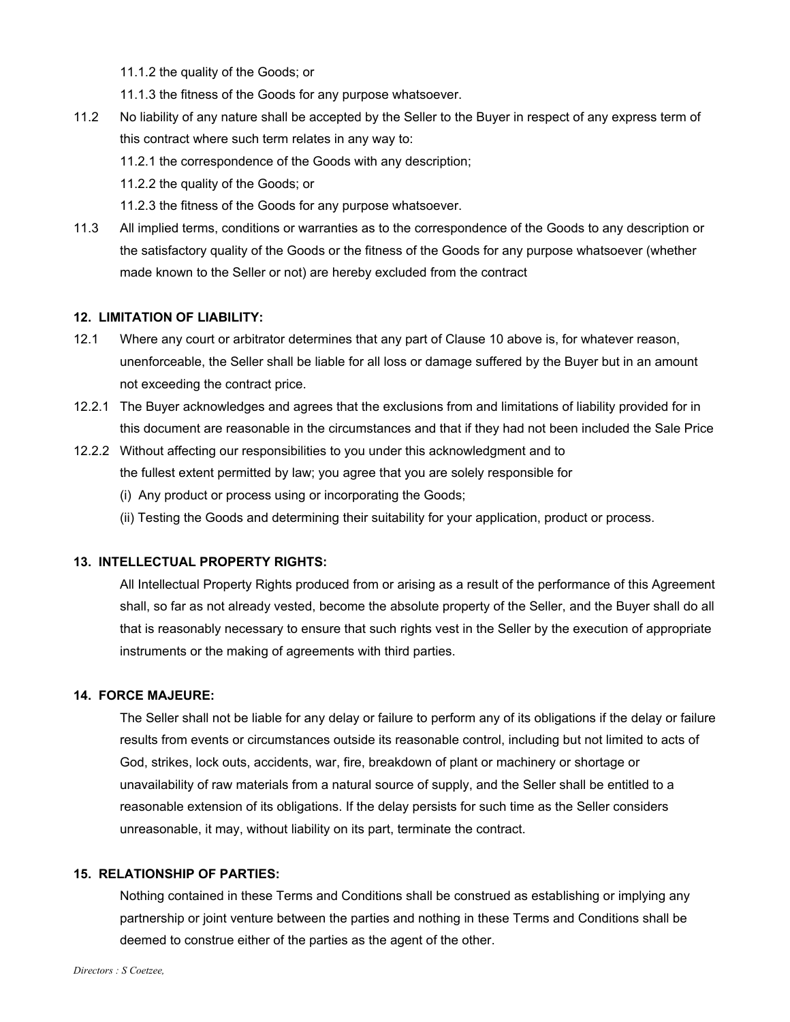11.1.2 the quality of the Goods; or

11.1.3 the fitness of the Goods for any purpose whatsoever.

- 11.2 No liability of any nature shall be accepted by the Seller to the Buyer in respect of any express term of this contract where such term relates in any way to:
	- 11.2.1 the correspondence of the Goods with any description;

11.2.2 the quality of the Goods; or

- 11.2.3 the fitness of the Goods for any purpose whatsoever.
- 11.3 All implied terms, conditions or warranties as to the correspondence of the Goods to any description or the satisfactory quality of the Goods or the fitness of the Goods for any purpose whatsoever (whether made known to the Seller or not) are hereby excluded from the contract

#### **12. LIMITATION OF LIABILITY:**

- 12.1 Where any court or arbitrator determines that any part of Clause 10 above is, for whatever reason, unenforceable, the Seller shall be liable for all loss or damage suffered by the Buyer but in an amount not exceeding the contract price.
- 12.2.1 The Buyer acknowledges and agrees that the exclusions from and limitations of liability provided for in this document are reasonable in the circumstances and that if they had not been included the Sale Price
- 12.2.2 Without affecting our responsibilities to you under this acknowledgment and to the fullest extent permitted by law; you agree that you are solely responsible for
	- (i) Any product or process using or incorporating the Goods;
	- (ii) Testing the Goods and determining their suitability for your application, product or process.

## **13. INTELLECTUAL PROPERTY RIGHTS:**

All Intellectual Property Rights produced from or arising as a result of the performance of this Agreement shall, so far as not already vested, become the absolute property of the Seller, and the Buyer shall do all that is reasonably necessary to ensure that such rights vest in the Seller by the execution of appropriate instruments or the making of agreements with third parties.

#### **14. FORCE MAJEURE:**

The Seller shall not be liable for any delay or failure to perform any of its obligations if the delay or failure results from events or circumstances outside its reasonable control, including but not limited to acts of God, strikes, lock outs, accidents, war, fire, breakdown of plant or machinery or shortage or unavailability of raw materials from a natural source of supply, and the Seller shall be entitled to a reasonable extension of its obligations. If the delay persists for such time as the Seller considers unreasonable, it may, without liability on its part, terminate the contract.

### **15. RELATIONSHIP OF PARTIES:**

Nothing contained in these Terms and Conditions shall be construed as establishing or implying any partnership or joint venture between the parties and nothing in these Terms and Conditions shall be deemed to construe either of the parties as the agent of the other.